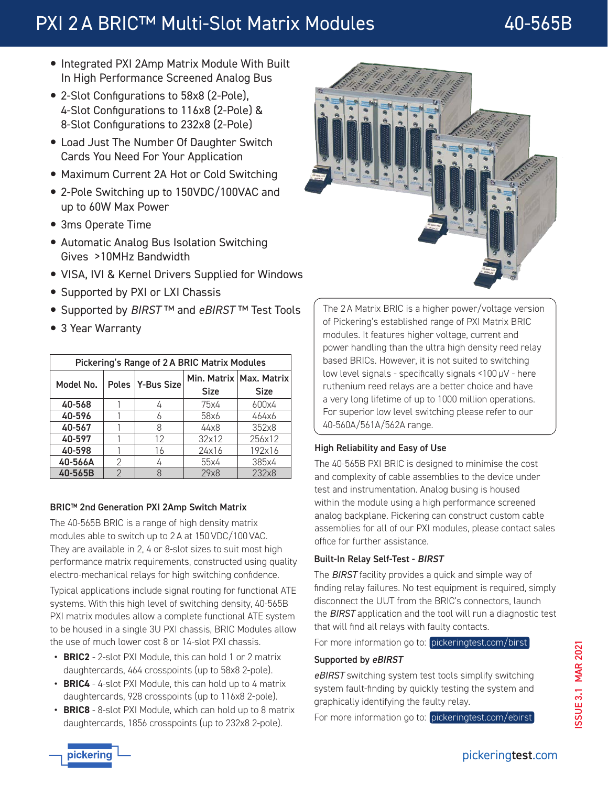# PXI 2 A BRIC™ Multi-Slot Matrix Modules 40-565B

- Integrated PXI 2Amp Matrix Module With Built In High Performance Screened Analog Bus
- 2-Slot Configurations to 58x8 (2-Pole), 4-Slot Configurations to 116x8 (2-Pole) & 8-Slot Configurations to 232x8 (2-Pole)
- Load Just The Number Of Daughter Switch Cards You Need For Your Application
- Maximum Current 2A Hot or Cold Switching
- 2-Pole Switching up to 150VDC/100VAC and up to 60W Max Power
- 3ms Operate Time
- Automatic Analog Bus Isolation Switching Gives >10MHz Bandwidth
- VISA, IVI & Kernel Drivers Supplied for Windows
- Supported by PXI or LXI Chassis
- y Supported by *BIRST* ™ and *eBIRST* ™ Test Tools
- 3 Year Warranty

| Pickering's Range of 2 A BRIC Matrix Modules |   |                  |             |                                          |
|----------------------------------------------|---|------------------|-------------|------------------------------------------|
| Model No.                                    |   | Poles Y-Bus Size | <b>Size</b> | Min. Matrix   Max. Matrix<br><b>Size</b> |
| 40-568                                       |   |                  | 75x4        | 600x4                                    |
| 40-596                                       |   |                  | 58x6        | 464x6                                    |
| 40-567                                       |   | 8                | 44x8        | 352x8                                    |
| 40-597                                       |   | 12               | 32x12       | 256x12                                   |
| 40-598                                       |   | 16               | 24x16       | 192x16                                   |
| 40-566A                                      | 2 |                  | 55x4        | 385x4                                    |
| 40-565B                                      | っ |                  | 29x8        | 232x8                                    |

### BRIC™ 2nd Generation PXI 2Amp Switch Matrix

The 40-565B BRIC is a range of high density matrix modules able to switch up to 2 A at 150 VDC/100 VAC. They are available in 2, 4 or 8-slot sizes to suit most high performance matrix requirements, constructed using quality electro-mechanical relays for high switching confidence.

Typical applications include signal routing for functional ATE systems. With this high level of switching density, 40-565B PXI matrix modules allow a complete functional ATE system to be housed in a single 3U PXI chassis, BRIC Modules allow the use of much lower cost 8 or 14-slot PXI chassis.

- **• BRIC2** 2-slot PXI Module, this can hold 1 or 2 matrix daughtercards, 464 crosspoints (up to 58x8 2-pole).
- **• BRIC4** 4-slot PXI Module, this can hold up to 4 matrix daughtercards, 928 crosspoints (up to 116x8 2-pole).
- **• BRIC8** 8-slot PXI Module, which can hold up to 8 matrix daughtercards, 1856 crosspoints (up to 232x8 2-pole).



The 2 A Matrix BRIC is a higher power/voltage version of Pickering's established range of PXI Matrix BRIC modules. It features higher voltage, current and power handling than the ultra high density reed relay based BRICs. However, it is not suited to switching low level signals - specifically signals <100 µV - here ruthenium reed relays are a better choice and have a very long lifetime of up to 1000 million operations. For superior low level switching please refer to our 40-560A/561A/562A range.

### High Reliability and Easy of Use

The 40-565B PXI BRIC is designed to minimise the cost and complexity of cable assemblies to the device under test and instrumentation. Analog busing is housed within the module using a high performance screened analog backplane. Pickering can construct custom cable assemblies for all of our PXI modules, please contact sales office for further assistance.

### Built-In Relay Self-Test - BIRST

The *BIRST* facility provides a quick and simple way of finding relay failures. No test equipment is required, simply disconnect the UUT from the BRIC's connectors, launch the *BIRST* application and the tool will run a diagnostic test that will find all relays with faulty contacts.

For more information go to: [pickeringtest.com/birst](http://www.pickeringtest.com/birst)

### Supported by eBIRST

*eBIRST* switching system test tools simplify switching system fault-finding by quickly testing the system and graphically identifying the faulty relay.

For more information go to: [pickeringtest.com/ebirst](http://www.pickeringtest.com/ebirst)

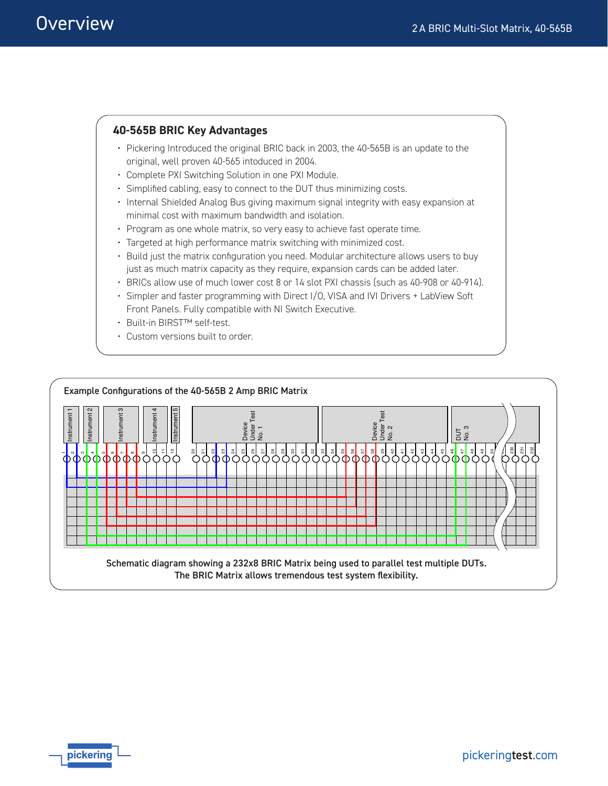### **40-565B BRIC Key Advantages** • Pickering Introduced the original BRIC back in 2003, the 40-565B is an update to the original, well proven 40-565 intoduced in 2004.

- Complete PXI Switching Solution in one PXI Module.
- Simplified cabling, easy to connect to the DUT thus minimizing costs.
- Internal Shielded Analog Bus giving maximum signal integrity with easy expansion at minimal cost with maximum bandwidth and isolation.
- Program as one whole matrix, so very easy to achieve fast operate time.
- Targeted at high performance matrix switching with minimized cost.
- Build just the matrix configuration you need. Modular architecture allows users to buy just as much matrix capacity as they require, expansion cards can be added later.
- BRICs allow use of much lower cost 8 or 14 slot PXI chassis (such as 40-908 or 40-914).
- Simpler and faster programming with Direct I/O, VISA and IVI Drivers + LabView Soft Front Panels. Fully compatible with NI Switch Executive.
- Built-in BIRST™ self-test.
- Custom versions built to order.

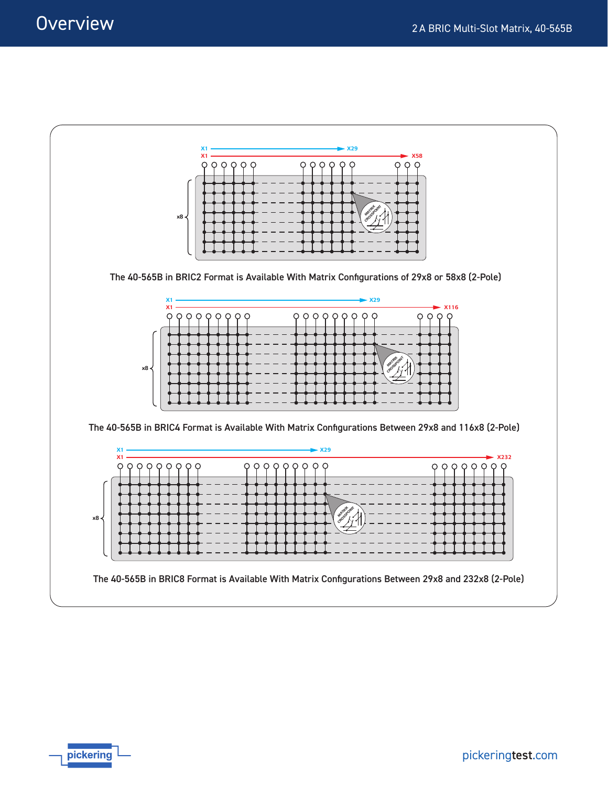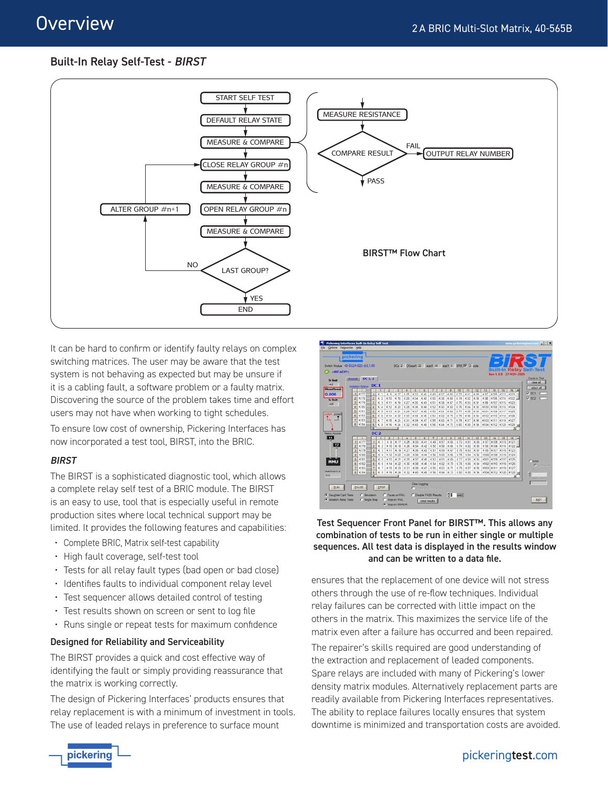### Built-In Relay Self-Test - BIRST



It can be hard to confirm or identify faulty relays on complex switching matrices. The user may be aware that the test system is not behaving as expected but may be unsure if it is a cabling fault, a software problem or a faulty matrix. Discovering the source of the problem takes time and effort users may not have when working to tight schedules.

To ensure low cost of ownership, Pickering Interfaces has now incorporated a test tool, BIRST, into the BRIC.

### BIRST

The BIRST is a sophisticated diagnostic tool, which allows a complete relay self test of a BRIC module. The BIRST is an easy to use, tool that is especially useful in remote production sites where local technical support may be limited. It provides the following features and capabilities:

- Complete BRIC, Matrix self-test capability
- High fault coverage, self-test tool
- Tests for all relay fault types (bad open or bad close)
- Identifies faults to individual component relay level
- Test sequencer allows detailed control of testing
- Test results shown on screen or sent to log file
- Runs single or repeat tests for maximum confidence

#### Designed for Reliability and Serviceability

The BIRST provides a quick and cost effective way of identifying the fault or simply providing reassurance that the matrix is working correctly.

The design of Pickering Interfaces' products ensures that relay replacement is with a minimum of investment in tools. The use of leaded relays in preference to surface mount



#### Test Sequencer Front Panel for BIRST™. This allows any combination of tests to be run in either single or multiple sequences. All test data is displayed in the results window and can be written to a data file.

ensures that the replacement of one device will not stress others through the use of re-flow techniques. Individual relay failures can be corrected with little impact on the others in the matrix. This maximizes the service life of the matrix even after a failure has occurred and been repaired.

The repairer's skills required are good understanding of the extraction and replacement of leaded components. Spare relays are included with many of Pickering's lower density matrix modules. Alternatively replacement parts are readily available from Pickering Interfaces representatives. The ability to replace failures locally ensures that system downtime is minimized and transportation costs are avoided.



## pickeringtest.com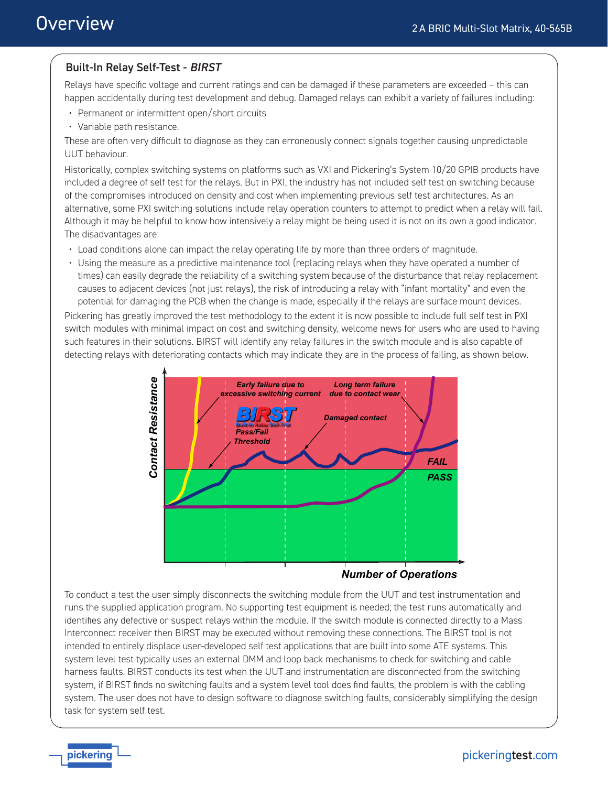### Built-In Relay Self-Test - BIRST

Relays have specific voltage and current ratings and can be damaged if these parameters are exceeded – this can happen accidentally during test development and debug. Damaged relays can exhibit a variety of failures including:

- Permanent or intermittent open/short circuits
- Variable path resistance.

These are often very difficult to diagnose as they can erroneously connect signals together causing unpredictable UUT behaviour.

Historically, complex switching systems on platforms such as VXI and Pickering's System 10/20 GPIB products have included a degree of self test for the relays. But in PXI, the industry has not included self test on switching because of the compromises introduced on density and cost when implementing previous self test architectures. As an alternative, some PXI switching solutions include relay operation counters to attempt to predict when a relay will fail. Although it may be helpful to know how intensively a relay might be being used it is not on its own a good indicator. The disadvantages are:

- Load conditions alone can impact the relay operating life by more than three orders of magnitude.
- Using the measure as a predictive maintenance tool (replacing relays when they have operated a number of times) can easily degrade the reliability of a switching system because of the disturbance that relay replacement causes to adjacent devices (not just relays), the risk of introducing a relay with "infant mortality" and even the potential for damaging the PCB when the change is made, especially if the relays are surface mount devices.

Pickering has greatly improved the test methodology to the extent it is now possible to include full self test in PXI switch modules with minimal impact on cost and switching density, welcome news for users who are used to having such features in their solutions. BIRST will identify any relay failures in the switch module and is also capable of detecting relays with deteriorating contacts which may indicate they are in the process of failing, as shown below.



*Number of Operations*

To conduct a test the user simply disconnects the switching module from the UUT and test instrumentation and runs the supplied application program. No supporting test equipment is needed; the test runs automatically and identifies any defective or suspect relays within the module. If the switch module is connected directly to a Mass Interconnect receiver then BIRST may be executed without removing these connections. The BIRST tool is not intended to entirely displace user-developed self test applications that are built into some ATE systems. This system level test typically uses an external DMM and loop back mechanisms to check for switching and cable harness faults. BIRST conducts its test when the UUT and instrumentation are disconnected from the switching system, if BIRST finds no switching faults and a system level tool does find faults, the problem is with the cabling system. The user does not have to design software to diagnose switching faults, considerably simplifying the design task for system self test.

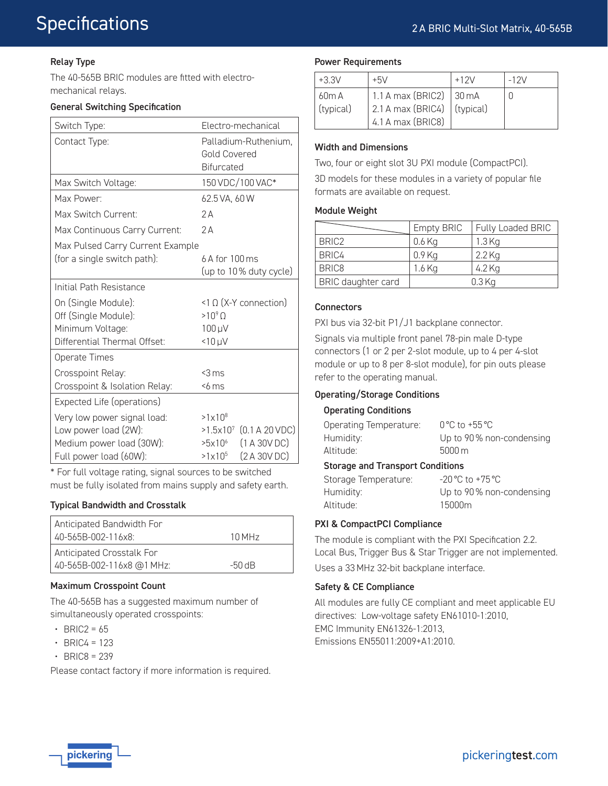### Relay Type

The 40-565B BRIC modules are fitted with electromechanical relays.

#### General Switching Specification

| Switch Type:                     | Electro-mechanical                     |  |  |
|----------------------------------|----------------------------------------|--|--|
| Contact Type:                    | Palladium-Ruthenium,                   |  |  |
|                                  | Gold Covered                           |  |  |
|                                  | <b>Bifurcated</b>                      |  |  |
| Max Switch Voltage:              | 150 VDC/100 VAC*                       |  |  |
| Max Power:                       | 62.5 VA, 60 W                          |  |  |
| Max Switch Current:              | 2A                                     |  |  |
| Max Continuous Carry Current:    | 2A                                     |  |  |
| Max Pulsed Carry Current Example |                                        |  |  |
| (for a single switch path):      | 6 A for 100 ms                         |  |  |
|                                  | (up to 10% duty cycle)                 |  |  |
| Initial Path Resistance          |                                        |  |  |
| On (Single Module):              | <1 Ω (X-Y connection)                  |  |  |
| Off (Single Module):             | $>10^{9}$ O                            |  |  |
| Minimum Voltage:                 | 100 µV                                 |  |  |
| Differential Thermal Offset:     | $< 10 \mu V$                           |  |  |
| Operate Times                    |                                        |  |  |
| Crosspoint Relay:                | $<$ 3 ms                               |  |  |
| Crosspoint & Isolation Relay:    | $56$ ms                                |  |  |
| Expected Life (operations)       |                                        |  |  |
| Very low power signal load:      | $>1\times10^{8}$                       |  |  |
| Low power load (2W):             | (0.1 A 20 VDC)<br>$>1.5 \times 10^{7}$ |  |  |
| Medium power load (30W):         | (1 A 30 V DC)<br>>5x10 <sup>6</sup>    |  |  |
| Full power load (60W):           | (2 A 30 V DC)<br>$>1\times10^{5}$      |  |  |

\* For full voltage rating, signal sources to be switched must be fully isolated from mains supply and safety earth.

### Typical Bandwidth and Crosstalk

| Anticipated Bandwidth For |          |
|---------------------------|----------|
| 40-565B-002-116x8:        | 10 MHz   |
| Anticipated Crosstalk For |          |
| 40-565B-002-116x8 @1 MHz: | $-50$ dB |

### Maximum Crosspoint Count

The 40-565B has a suggested maximum number of simultaneously operated crosspoints:

- $\cdot$  BRIC2 = 65
- $\cdot$  BRIC4 = 123
- $\cdot$  BRIC8 = 239

Please contact factory if more information is required.

#### Power Requirements

| $+3.3V$   | $+5V$                                       | $+12V$ | $-12V$ |
|-----------|---------------------------------------------|--------|--------|
| 60m A     | 1.1 A max (BRIC2)   30 mA                   |        |        |
| (typical) | $\vert$ 2.1 A max (BRIC4) $\vert$ (typical) |        |        |
|           | $4.1A$ max (BRIC8)                          |        |        |

#### Width and Dimensions

Two, four or eight slot 3U PXI module (CompactPCI).

3D models for these modules in a variety of popular file formats are available on request.

#### Module Weight

|                    | <b>Empty BRIC</b> | Fully Loaded BRIC |
|--------------------|-------------------|-------------------|
| BRIC <sub>2</sub>  | $0.6$ Kg          | $1.3$ Kg          |
| BRIC4              | $0.9$ Kg          | $2.2$ Kg          |
| BRIC <sub>8</sub>  | 1.6 Kg            | 4.2 Kg            |
| BRIC daughter card |                   | $0.3$ Kg          |

#### **Connectors**

PXI bus via 32-bit P1/J1 backplane connector.

Signals via multiple front panel 78-pin male D-type connectors (1 or 2 per 2-slot module, up to 4 per 4-slot module or up to 8 per 8-slot module), for pin outs please refer to the operating manual.

### Operating/Storage Conditions

#### Operating Conditions

| Operating Temperature: | $0^{\circ}$ C to +55 $^{\circ}$ C |
|------------------------|-----------------------------------|
| Humidity:              | Up to 90% non-condensing          |
| Altitude:              | $5000 \,\mathrm{m}$               |

#### Storage and Transport Conditions

| Storage Temperature: | $-20\,^{\circ}\text{C}$ to $+75\,^{\circ}\text{C}$ |
|----------------------|----------------------------------------------------|
| Humidity:            | Up to 90% non-condensing                           |
| Altitude:            | 15000m                                             |

### PXI & CompactPCI Compliance

The module is compliant with the PXI Specification 2.2. Local Bus, Trigger Bus & Star Trigger are not implemented. Uses a 33 MHz 32-bit backplane interface.

### Safety & CE Compliance

All modules are fully CE compliant and meet applicable EU directives: Low-voltage safety EN61010-1:2010, EMC Immunity EN61326-1:2013, Emissions EN55011:2009+A1:2010.

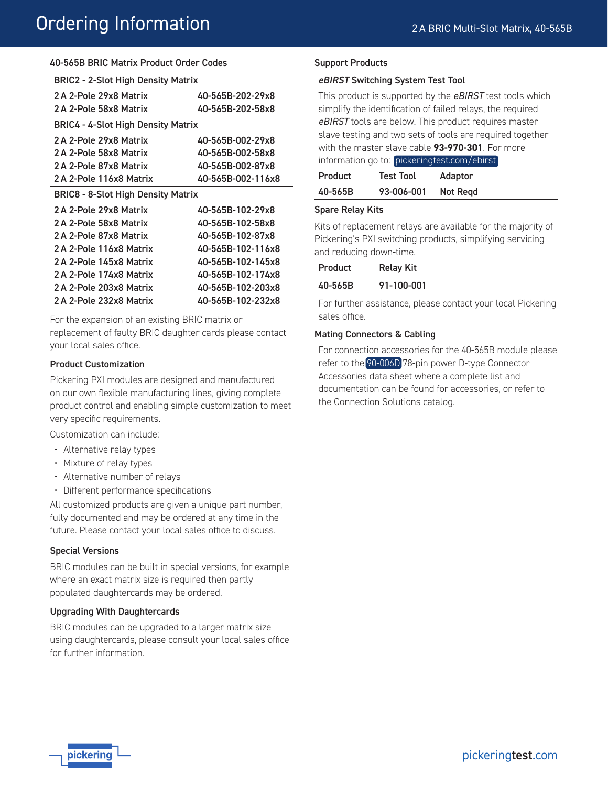#### 40-565B BRIC Matrix Product Order Codes

| <b>BRIC2 - 2-Slot High Density Matrix</b> |                   |  |  |
|-------------------------------------------|-------------------|--|--|
| 2A 2-Pole 29x8 Matrix                     | 40-565B-202-29x8  |  |  |
| 2A 2-Pole 58x8 Matrix                     | 40-565B-202-58x8  |  |  |
| <b>BRIC4 - 4-Slot High Density Matrix</b> |                   |  |  |
| 2A 2-Pole 29x8 Matrix                     | 40-565B-002-29x8  |  |  |
| 2A 2-Pole 58x8 Matrix                     | 40-565B-002-58x8  |  |  |
| 2 A 2-Pole 87x8 Matrix                    | 40-565B-002-87x8  |  |  |
| 2 A 2-Pole 116x8 Matrix                   | 40-565B-002-116x8 |  |  |
| <b>BRIC8 - 8-Slot High Density Matrix</b> |                   |  |  |
| 2A 2-Pole 29x8 Matrix                     | 40-565B-102-29x8  |  |  |
| 2A 2-Pole 58x8 Matrix                     | 40-565B-102-58x8  |  |  |
| 2A 2-Pole 87x8 Matrix                     | 40-565B-102-87x8  |  |  |
| 2A 2-Pole 116x8 Matrix                    | 40-565B-102-116x8 |  |  |
| 2A 2-Pole 145x8 Matrix                    | 40-565B-102-145x8 |  |  |
| 2A 2-Pole 174x8 Matrix                    | 40-565B-102-174x8 |  |  |
| 2A 2-Pole 203x8 Matrix                    | 40-565B-102-203x8 |  |  |
| 2A 2-Pole 232x8 Matrix                    | 40-565B-102-232x8 |  |  |

For the expansion of an existing BRIC matrix or replacement of faulty BRIC daughter cards please contact your local sales office.

#### Product Customization

Pickering PXI modules are designed and manufactured on our own flexible manufacturing lines, giving complete product control and enabling simple customization to meet very specific requirements.

Customization can include:

- Alternative relay types
- Mixture of relay types
- Alternative number of relays
- Different performance specifications

All customized products are given a unique part number, fully documented and may be ordered at any time in the future. Please contact your local sales office to discuss.

#### Special Versions

BRIC modules can be built in special versions, for example where an exact matrix size is required then partly populated daughtercards may be ordered.

#### Upgrading With Daughtercards

BRIC modules can be upgraded to a larger matrix size using daughtercards, please consult your local sales office for further information.

#### Support Products

#### eBIRST Switching System Test Tool

This product is supported by the *eBIRST* test tools which simplify the identification of failed relays, the required *eBIRST* tools are below. This product requires master slave testing and two sets of tools are required together with the master slave cable **93-970-301**. For more information go to: [pickeringtest.com/ebirst](http://www.pickeringtest.com/ebirst)

| Product | <b>Test Tool</b> | Adaptor  |
|---------|------------------|----------|
| 40-565B | 93-006-001       | Not Regd |

#### Spare Relay Kits

Kits of replacement relays are available for the majority of Pickering's PXI switching products, simplifying servicing and reducing down-time.

| Product | <b>Relay Kit</b> |
|---------|------------------|
|---------|------------------|

#### 40-565B 91-100-001

For further assistance, please contact your local Pickering sales office.

#### Mating Connectors & Cabling

For connection accessories for the 40-565B module please refer to the [90-006D](http://www.pickeringtest.com/content/downloads/datasheets/90-006D.pdf) 78-pin power D-type Connector Accessories data sheet where a complete list and documentation can be found for accessories, or refer to the Connection Solutions catalog.

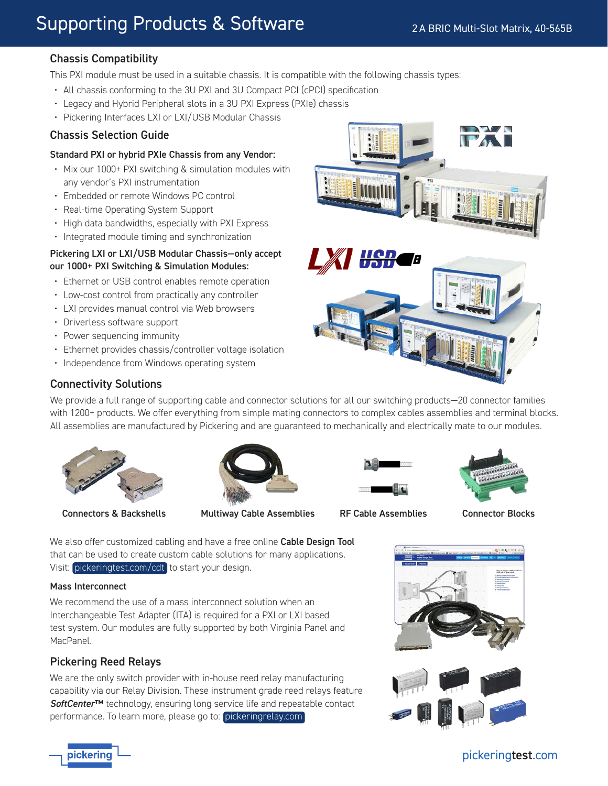### Chassis Compatibility

This PXI module must be used in a suitable chassis. It is compatible with the following chassis types:

- All chassis conforming to the 3U PXI and 3U Compact PCI (cPCI) specification
- Legacy and Hybrid Peripheral slots in a 3U PXI Express (PXIe) chassis
- Pickering Interfaces LXI or LXI/USB Modular Chassis

### Chassis Selection Guide

#### Standard PXI or hybrid PXIe Chassis from any Vendor:

- Mix our 1000+ PXI switching & simulation modules with any vendor's PXI instrumentation
- Embedded or remote Windows PC control
- Real-time Operating System Support
- High data bandwidths, especially with PXI Express
- Integrated module timing and synchronization

#### Pickering LXI or LXI/USB Modular Chassis—only accept our 1000+ PXI Switching & Simulation Modules:

- Ethernet or USB control enables remote operation
- Low-cost control from practically any controller
- LXI provides manual control via Web browsers
- Driverless software support
- Power sequencing immunity
- Ethernet provides chassis/controller voltage isolation
- Independence from Windows operating system



### Connectivity Solutions

We provide a full range of supporting cable and connector solutions for all our switching products—20 connector families with 1200+ products. We offer everything from simple mating connectors to complex cables assemblies and terminal blocks. All assemblies are manufactured by Pickering and are guaranteed to mechanically and electrically mate to our modules.



Connectors & Backshells Multiway Cable Assemblies RF Cable Assemblies Connector Blocks







We also offer customized cabling and have a free online Cable Design Tool that can be used to create custom cable solutions for many applications. Visit: [pickeringtest.com/cdt](http://www.pickeringtest.com/cdt) to start your design.

#### Mass Interconnect

We recommend the use of a mass interconnect solution when an Interchangeable Test Adapter (ITA) is required for a PXI or LXI based test system. Our modules are fully supported by both Virginia Panel and MacPanel.

### Pickering Reed Relays

We are the only switch provider with in-house reed relay manufacturing capability via our Relay Division. These instrument grade reed relays feature *SoftCenter*™ technology, ensuring long service life and repeatable contact performance. To learn more, please go to: [pickeringrelay.com](http://www.pickeringrelay.com)





### pickeringtest.com